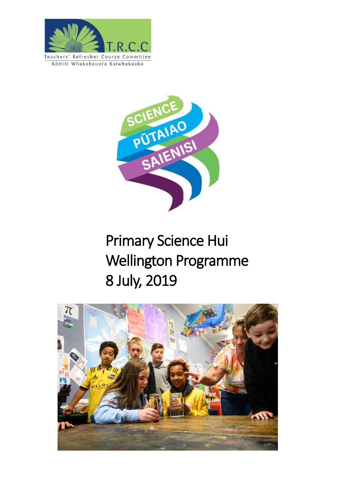



# Primary Science Hui Wellington Programme 8 July, 2019

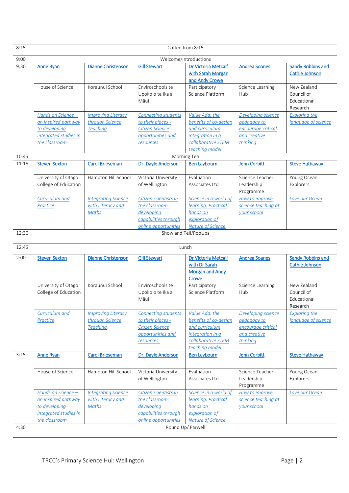| 8:15  | Coffee from 8:15                                                                                     |                                                                 |                                                                                                       |                                                                                                                       |                                                                                     |                                                      |
|-------|------------------------------------------------------------------------------------------------------|-----------------------------------------------------------------|-------------------------------------------------------------------------------------------------------|-----------------------------------------------------------------------------------------------------------------------|-------------------------------------------------------------------------------------|------------------------------------------------------|
| 9:00  | Welcome/Introductions                                                                                |                                                                 |                                                                                                       |                                                                                                                       |                                                                                     |                                                      |
| 9:30  | <b>Anne Ryan</b>                                                                                     | <b>Dianne Christenson</b>                                       | <b>Gill Stewart</b>                                                                                   | Dr Victoria Metcalf<br>with Sarah Morgan<br>and Andy Crowe                                                            | <b>Andrea Soanes</b>                                                                | <b>Sandy Robbins and</b><br>Cathie Johnson           |
|       | House of Science                                                                                     | Koraunui School                                                 | Enviroschools te<br>Upoko o te Ika a<br>Māui                                                          | Participatory<br>Science Platform                                                                                     | Science Learning<br>Hub                                                             | New Zealand<br>Council of<br>Educational<br>Research |
|       | Hands on Science -<br>an inspired pathway<br>to developing<br>integrated studies in<br>the classroom | <b>Improving Literacy</b><br>through Science<br><b>Teaching</b> | <b>Connecting students</b><br>to their places -<br>Citizen Science<br>opportunities and<br>resources. | Value Add: the<br>benefits of co-design<br>and curriculum<br>integration in a<br>collaborative STEM<br>teaching model | Developing science<br>pedagogy to<br>encourage critical<br>and creative<br>thinking | <b>Exploring the</b><br>language of science          |
| 10:45 |                                                                                                      |                                                                 |                                                                                                       | Morning Tea                                                                                                           |                                                                                     |                                                      |
| 11:15 | <b>Steven Sexton</b>                                                                                 | <b>Carol Brieseman</b>                                          | Dr. Dayle Anderson                                                                                    | <b>Ben Laybourn</b>                                                                                                   | <b>Jenn Corbitt</b>                                                                 | <b>Steve Hathaway</b>                                |
|       | University of Otago<br>College of Education                                                          | Hampton Hill School                                             | Victoria University<br>of Wellington                                                                  | Evaluation<br>Associates Ltd                                                                                          | Science Teacher<br>Leadership<br>Programme                                          | Young Ocean<br>Explorers                             |
|       | Curriculum and<br>Practice                                                                           | <b>Integrating Science</b><br>with Literacy and<br>Maths        | Citizen scientists in<br>the classroom:<br>developing<br>capabilities through<br>online opportunities | Science in a world of<br>learning; Practical<br>hands on<br>exploration of<br><b>Nature of Science</b>                | How to improve<br>science teaching at<br>your school                                | Love our Ocean                                       |
| 12:30 | Show and Tell/PopUps                                                                                 |                                                                 |                                                                                                       |                                                                                                                       |                                                                                     |                                                      |
| 12:45 | Lunch                                                                                                |                                                                 |                                                                                                       |                                                                                                                       |                                                                                     |                                                      |
| 2:00  | <b>Steven Sexton</b>                                                                                 | <b>Dianne Christenson</b>                                       | <b>Gill Stewart</b>                                                                                   | Dr Victoria Metcalf<br>with Dr Sarah<br><b>Morgan and Andy</b><br>Crowe                                               | <b>Andrea Soanes</b>                                                                | <b>Sandy Robbins and</b><br>Cathie Johnson           |
|       | University of Otago<br>College of Education                                                          | Koraunui School                                                 | Enviroschools te<br>Upoko o te Ika a<br>Māui                                                          | Participatory<br>Science Platform                                                                                     | Science Learning<br>Hub                                                             | New Zealand<br>Council of<br>Educational<br>Research |
|       | Curriculum and<br>Practice                                                                           | <b>Improving Literacy</b><br>through Science<br><b>Teaching</b> | <b>Connecting students</b><br>to their places -<br>Citizen Science<br>opportunities and<br>resources. | Value Add: the<br>benefits of co-design<br>and curriculum<br>integration in a<br>collaborative STEM<br>teaching model | Developing science<br>pedagogy to<br>encourage critical<br>and creative<br>thinking | <b>Exploring the</b><br>language of science          |
| 3:15  | <b>Anne Ryan</b>                                                                                     | <b>Carol Brieseman</b>                                          | Dr. Dayle Anderson                                                                                    | <b>Ben Laybourn</b>                                                                                                   | <b>Jenn Corbitt</b>                                                                 | <b>Steve Hathaway</b>                                |
|       | House of Science                                                                                     | Hampton Hill School                                             | Victoria University<br>of Wellington                                                                  | Evaluation<br>Associates Ltd                                                                                          | Science Teacher<br>Leadership<br>Programme                                          | Young Ocean<br>Explorers                             |
|       | Hands on Science -<br>an inspired pathway<br>to developing<br>integrated studies in<br>the classroom | <b>Integrating Science</b><br>with Literacy and<br>Maths        | Citizen scientists in<br>the classroom:<br>developing<br>capabilities through<br>online opportunities | Science in a world of<br>learning; Practical<br>hands on<br>exploration of<br><b>Nature of Science</b>                | How to improve<br>science teaching at<br>your school                                | Love our Ocean                                       |
| 4:30  | Round Up/ Farwell                                                                                    |                                                                 |                                                                                                       |                                                                                                                       |                                                                                     |                                                      |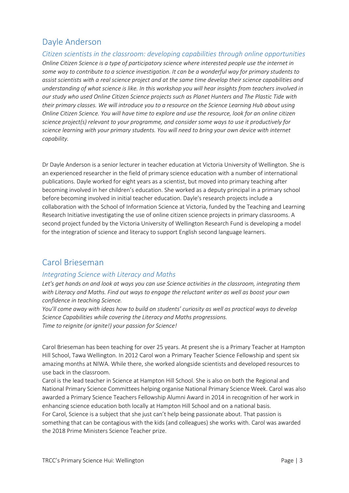# <span id="page-2-1"></span>Dayle Anderson

<span id="page-2-3"></span>*Citizen scientists in the classroom: developing capabilities through online opportunities Online Citizen Science is a type of participatory science where interested people use the internet in some way to contribute to a science investigation. It can be a wonderful way for primary students to assist scientists with a real science project and at the same time develop their science capabilities and understanding of what science is like. In this workshop you will hear insights from teachers involved in our study who used Online Citizen Science projects such as Planet Hunters and The Plastic Tide with their primary classes. We will introduce you to a resource on the Science Learning Hub about using Online Citizen Science. You will have time to explore and use the resource, look for an online citizen science project(s) relevant to your programme, and consider some ways to use it productively for science learning with your primary students. You will need to bring your own device with internet capability.*

Dr Dayle Anderson is a senior lecturer in teacher education at Victoria University of Wellington. She is an experienced researcher in the field of primary science education with a number of international publications. Dayle worked for eight years as a scientist, but moved into primary teaching after becoming involved in her children's education. She worked as a deputy principal in a primary school before becoming involved in initial teacher education. Dayle's research projects include a collaboration with the School of Information Science at Victoria, funded by the Teaching and Learning Research Initiative investigating the use of online citizen science projects in primary classrooms. A second project funded by the Victoria University of Wellington Research Fund is developing a model for the integration of science and literacy to support English second language learners.

# <span id="page-2-0"></span>Carol Brieseman

## <span id="page-2-2"></span>*Integrating Science with Literacy and Maths*

*Let's get hands on and look at ways you can use Science activities in the classroom, integrating them with Literacy and Maths. Find out ways to engage the reluctant writer as well as boost your own confidence in teaching Science.*

*You'll come away with ideas how to build on students' curiosity as well as practical ways to develop Science Capabilities while covering the Literacy and Maths progressions. Time to reignite (or ignite!) your passion for Science!*

Carol Brieseman has been teaching for over 25 years. At present she is a Primary Teacher at Hampton Hill School, Tawa Wellington. In 2012 Carol won a Primary Teacher Science Fellowship and spent six amazing months at NIWA. While there, she worked alongside scientists and developed resources to use back in the classroom.

Carol is the lead teacher in Science at Hampton Hill School. She is also on both the Regional and National Primary Science Committees helping organise National Primary Science Week. Carol was also awarded a Primary Science Teachers Fellowship Alumni Award in 2014 in recognition of her work in enhancing science education both locally at Hampton Hill School and on a national basis. For Carol, Science is a subject that she just can't help being passionate about. That passion is something that can be contagious with the kids (and colleagues) she works with. Carol was awarded the 2018 Prime Ministers Science Teacher prize.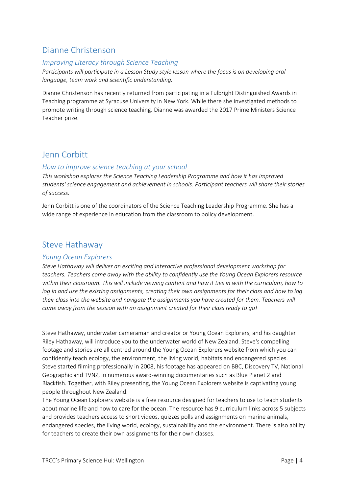# <span id="page-3-0"></span>Dianne Christenson

## <span id="page-3-1"></span>*Improving Literacy through Science Teaching*

*Participants will participate in a Lesson Study style lesson where the focus is on developing oral language, team work and scientific understanding.*

Dianne Christenson has recently returned from participating in a Fulbright Distinguished Awards in Teaching programme at Syracuse University in New York. While there she investigated methods to promote writing through science teaching. Dianne was awarded the 2017 Prime Ministers Science Teacher prize.

# <span id="page-3-2"></span>Jenn Corbitt

## <span id="page-3-4"></span>*How to improve science teaching at your school*

*This workshop explores the Science Teaching Leadership Programme and how it has improved students' science engagement and achievement in schools. Participant teachers will share their stories of success.*

Jenn Corbitt is one of the coordinators of the Science Teaching Leadership Programme. She has a wide range of experience in education from the classroom to policy development.

## <span id="page-3-3"></span>Steve Hathaway

#### <span id="page-3-5"></span>*Young Ocean Explorers*

*Steve Hathaway will deliver an exciting and interactive professional development workshop for teachers. Teachers come away with the ability to confidently use the Young Ocean Explorers resource within their classroom. This will include viewing content and how it ties in with the curriculum, how to log in and use the existing assignments, creating their own assignments for their class and how to log their class into the website and navigate the assignments you have created for them. Teachers will come away from the session with an assignment created for their class ready to go!*

Steve Hathaway, underwater cameraman and creator or Young Ocean Explorers, and his daughter Riley Hathaway, will introduce you to the underwater world of New Zealand. Steve's compelling footage and stories are all centred around the Young Ocean Explorers website from which you can confidently teach ecology, the environment, the living world, habitats and endangered species. Steve started filming professionally in 2008, his footage has appeared on BBC, Discovery TV, National Geographic and TVNZ, in numerous award-winning documentaries such as Blue Planet 2 and Blackfish. Together, with Riley presenting, the Young Ocean Explorers website is captivating young people throughout New Zealand.

The Young Ocean Explorers website is a free resource designed for teachers to use to teach students about marine life and how to care for the ocean. The resource has 9 curriculum links across 5 subjects and provides teachers access to short videos, quizzes polls and assignments on marine animals, endangered species, the living world, ecology, sustainability and the environment. There is also ability for teachers to create their own assignments for their own classes.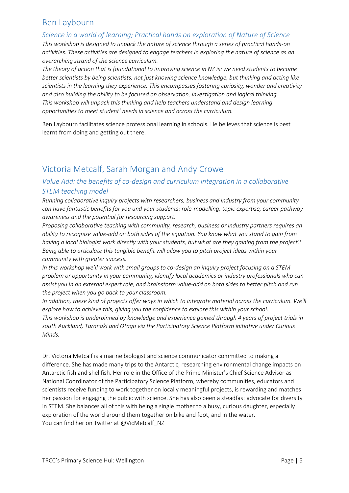# <span id="page-4-2"></span>Ben Laybourn

#### <span id="page-4-3"></span>*Science in a world of learning; Practical hands on exploration of Nature of Science*

*This workshop is designed to unpack the nature of science through a series of practical hands-on activities. These activities are designed to engage teachers in exploring the nature of science as an overarching strand of the science curriculum.*

*The theory of action that is foundational to improving science in NZ is: we need students to become better scientists by being scientists, not just knowing science knowledge, but thinking and acting like scientists in the learning they experience. This encompasses fostering curiosity, wonder and creativity and also building the ability to be focused on observation, investigation and logical thinking. This workshop will unpack this thinking and help teachers understand and design learning opportunities to meet student' needs in science and across the curriculum.*

Ben Laybourn facilitates science professional learning in schools. He believes that science is best learnt from doing and getting out there.

# <span id="page-4-0"></span>Victoria Metcalf, Sarah Morgan and Andy Crowe

## <span id="page-4-1"></span>*Value Add: the benefits of co-design and curriculum integration in a collaborative STEM teaching model*

*Running collaborative inquiry projects with researchers, business and industry from your community can have fantastic benefits for you and your students: role-modelling, topic expertise, career pathway awareness and the potential for resourcing support.* 

*Proposing collaborative teaching with community, research, business or industry partners requires an ability to recognise value-add on both sides of the equation. You know what you stand to gain from having a local biologist work directly with your students, but what are they gaining from the project? Being able to articulate this tangible benefit will allow you to pitch project ideas within your community with greater success.* 

*In this workshop we'll work with small groups to co-design an inquiry project focusing on a STEM problem or opportunity in your community, identify local academics or industry professionals who can assist you in an external expert role, and brainstorm value-add on both sides to better pitch and run the project when you go back to your classroom.*

*In addition, these kind of projects offer ways in which to integrate material across the curriculum. We'll explore how to achieve this, giving you the confidence to explore this within your school. This workshop is underpinned by knowledge and experience gained through 4 years of project trials in south Auckland, Taranaki and Otago via the Participatory Science Platform initiative under Curious Minds.*

Dr. Victoria Metcalf is a marine biologist and science communicator committed to making a difference. She has made many trips to the Antarctic, researching environmental change impacts on Antarctic fish and shellfish. Her role in the Office of the Prime Minister's Chief Science Advisor as National Coordinator of the Participatory Science Platform, whereby communities, educators and scientists receive funding to work together on locally meaningful projects, is rewarding and matches her passion for engaging the public with science. She has also been a steadfast advocate for diversity in STEM. She balances all of this with being a single mother to a busy, curious daughter, especially exploration of the world around them together on bike and foot, and in the water. You can find her on Twitter at @VicMetcalf\_NZ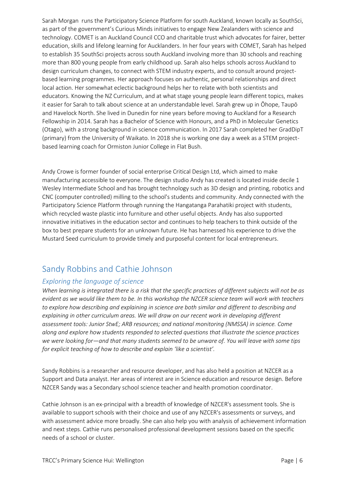Sarah Morgan runs the Participatory Science Platform for south Auckland, known locally as SouthSci, as part of the government's Curious Minds initiatives to engage New Zealanders with science and technology. COMET is an Auckland Council CCO and charitable trust which advocates for fairer, better education, skills and lifelong learning for Aucklanders. In her four years with COMET, Sarah has helped to establish 35 SouthSci projects across south Auckland involving more than 30 schools and reaching more than 800 young people from early childhood up. Sarah also helps schools across Auckland to design curriculum changes, to connect with STEM industry experts, and to consult around projectbased learning programmes. Her approach focuses on authentic, personal relationships and direct local action. Her somewhat eclectic background helps her to relate with both scientists and educators. Knowing the NZ Curriculum, and at what stage young people learn different topics, makes it easier for Sarah to talk about science at an understandable level. Sarah grew up in Ōhope, Taupō and Havelock North. She lived in Dunedin for nine years before moving to Auckland for a Research Fellowship in 2014. Sarah has a Bachelor of Science with Honours, and a PhD in Molecular Genetics (Otago), with a strong background in science communication. In 2017 Sarah completed her GradDipT (primary) from the University of Waikato. In 2018 she is working one day a week as a STEM projectbased learning coach for Ormiston Junior College in Flat Bush.

Andy Crowe is former founder of social enterprise Critical Design Ltd, which aimed to make manufacturing accessible to everyone. The design studio Andy has created is located inside decile 1 Wesley Intermediate School and has brought technology such as 3D design and printing, robotics and CNC (computer controlled) milling to the school's students and community. Andy connected with the Participatory Science Platform through running the Hangatanga Parahatiki project with students, which recycled waste plastic into furniture and other useful objects. Andy has also supported innovative initiatives in the education sector and continues to help teachers to think outside of the box to best prepare students for an unknown future. He has harnessed his experience to drive the Mustard Seed curriculum to provide timely and purposeful content for local entrepreneurs.

# <span id="page-5-0"></span>Sandy Robbins and Cathie Johnson

## <span id="page-5-1"></span>*Exploring the language of science*

*When learning is integrated there is a risk that the specific practices of different subjects will not be as evident as we would like them to be. In this workshop the NZCER science team will work with teachers to explore how describing and explaining in science are both similar and different to describing and explaining in other curriculum areas. We will draw on our recent work in developing different assessment tools: Junior StwE; ARB resources; and national monitoring (NMSSA) in science. Come along and explore how students responded to selected questions that illustrate the science practices we were looking for—and that many students seemed to be unware of. You will leave with some tips for explicit teaching of how to describe and explain 'like a scientist'.*

Sandy Robbins is a researcher and resource developer, and has also held a position at NZCER as a Support and Data analyst. Her areas of interest are in Science education and resource design. Before NZCER Sandy was a Secondary school science teacher and health promotion coordinator.

Cathie Johnson is an ex-principal with a breadth of knowledge of NZCER's assessment tools. She is available to support schools with their choice and use of any NZCER's assessments or surveys, and with assessment advice more broadly. She can also help you with analysis of achievement information and next steps. Cathie runs personalised professional development sessions based on the specific needs of a school or cluster.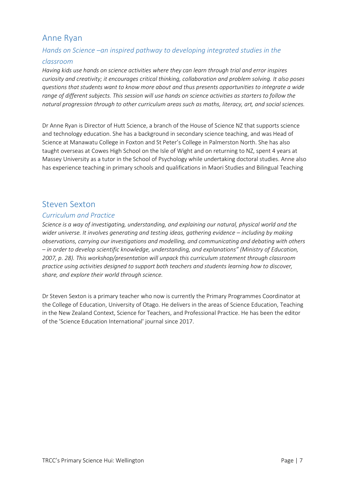# <span id="page-6-0"></span>Anne Ryan

## <span id="page-6-1"></span>*Hands on Science –an inspired pathway to developing integrated studies in the*

## *classroom*

*Having kids use hands on science activities where they can learn through trial and error inspires curiosity and creativity; it encourages critical thinking, collaboration and problem solving. It also poses questions that students want to know more about and thus presents opportunities to integrate a wide range of different subjects. This session will use hands on science activities as starters to follow the natural progression through to other curriculum areas such as maths, literacy, art, and social sciences.*

Dr Anne Ryan is Director of Hutt Science, a branch of the House of Science NZ that supports science and technology education. She has a background in secondary science teaching, and was Head of Science at Manawatu College in Foxton and St Peter's College in Palmerston North. She has also taught overseas at Cowes High School on the Isle of Wight and on returning to NZ, spent 4 years at Massey University as a tutor in the School of Psychology while undertaking doctoral studies. Anne also has experience teaching in primary schools and qualifications in Maori Studies and Bilingual Teaching

## <span id="page-6-3"></span><span id="page-6-2"></span>Steven Sexton

## <span id="page-6-4"></span>*Curriculum and Practice*

*Science is a way of investigating, understanding, and explaining our natural, physical world and the wider universe. It involves generating and testing ideas, gathering evidence – including by making observations, carrying our investigations and modelling, and communicating and debating with others – in order to develop scientific knowledge, understanding, and explanations" (Ministry of Education, 2007, p. 28). This workshop/presentation will unpack this curriculum statement through classroom practice using activities designed to support both teachers and students learning how to discover, share, and explore their world through science.*

Dr Steven Sexton is a primary teacher who now is currently the Primary Programmes Coordinator at the College of Education, University of Otago. He delivers in the areas of Science Education, Teaching in the New Zealand Context, Science for Teachers, and Professional Practice. He has been the editor of the 'Science Education International' journal since 2017.